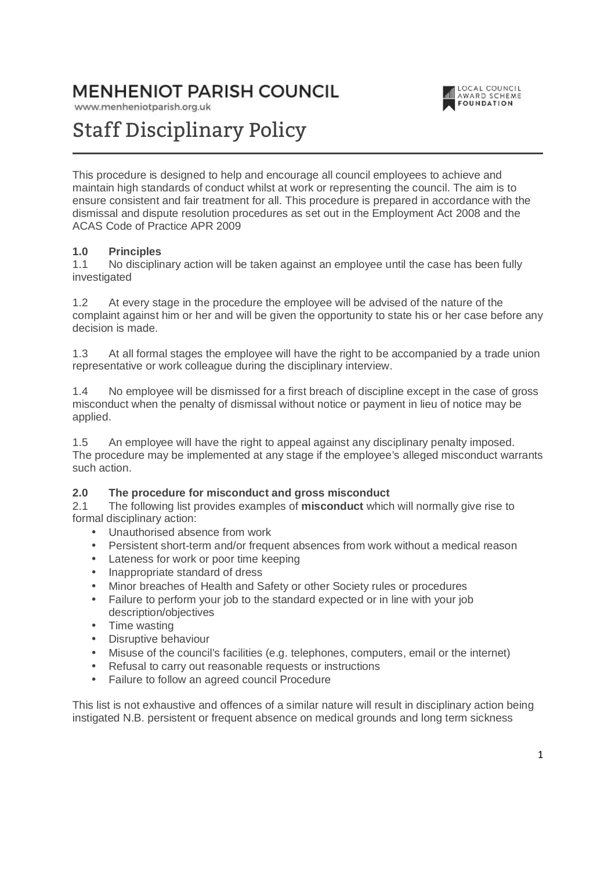# **MENHENIOT PARISH COUNCIL**

www.menheniotparish.org.uk



# Staff Disciplinary Policy

This procedure is designed to help and encourage all council employees to achieve and maintain high standards of conduct whilst at work or representing the council. The aim is to ensure consistent and fair treatment for all. This procedure is prepared in accordance with the dismissal and dispute resolution procedures as set out in the Employment Act 2008 and the ACAS Code of Practice APR 2009

#### **1.0 Principles**

1.1 No disciplinary action will be taken against an employee until the case has been fully investigated

1.2 At every stage in the procedure the employee will be advised of the nature of the complaint against him or her and will be given the opportunity to state his or her case before any decision is made.

1.3 At all formal stages the employee will have the right to be accompanied by a trade union representative or work colleague during the disciplinary interview.

1.4 No employee will be dismissed for a first breach of discipline except in the case of gross misconduct when the penalty of dismissal without notice or payment in lieu of notice may be applied.

1.5 An employee will have the right to appeal against any disciplinary penalty imposed. The procedure may be implemented at any stage if the employee's alleged misconduct warrants such action.

#### **2.0 The procedure for misconduct and gross misconduct**

2.1 The following list provides examples of **misconduct** which will normally give rise to formal disciplinary action:

- Unauthorised absence from work
- Persistent short-term and/or frequent absences from work without a medical reason
- Lateness for work or poor time keeping
- Inappropriate standard of dress
- Minor breaches of Health and Safety or other Society rules or procedures
- Failure to perform your job to the standard expected or in line with your job description/objectives
- Time wasting
- Disruptive behaviour
- Misuse of the council's facilities (e.g. telephones, computers, email or the internet)
- Refusal to carry out reasonable requests or instructions
- Failure to follow an agreed council Procedure

This list is not exhaustive and offences of a similar nature will result in disciplinary action being instigated N.B. persistent or frequent absence on medical grounds and long term sickness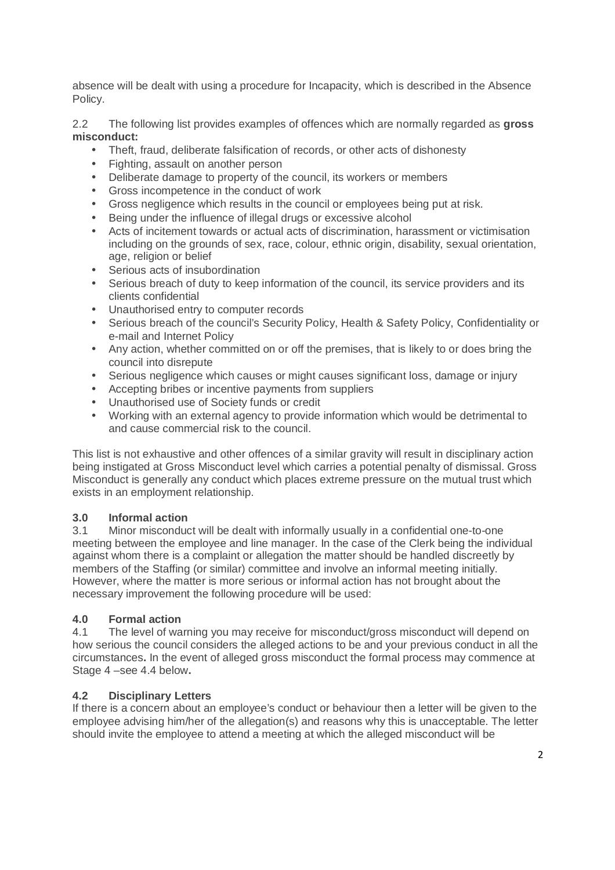absence will be dealt with using a procedure for Incapacity, which is described in the Absence Policy.

2.2 The following list provides examples of offences which are normally regarded as **gross misconduct:** 

- Theft, fraud, deliberate falsification of records, or other acts of dishonesty
- Fighting, assault on another person
- Deliberate damage to property of the council, its workers or members
- Gross incompetence in the conduct of work
- Gross negligence which results in the council or employees being put at risk.
- Being under the influence of illegal drugs or excessive alcohol
- Acts of incitement towards or actual acts of discrimination, harassment or victimisation including on the grounds of sex, race, colour, ethnic origin, disability, sexual orientation, age, religion or belief
- Serious acts of insubordination
- Serious breach of duty to keep information of the council, its service providers and its clients confidential
- Unauthorised entry to computer records
- Serious breach of the council's Security Policy, Health & Safety Policy, Confidentiality or e-mail and Internet Policy
- Any action, whether committed on or off the premises, that is likely to or does bring the council into disrepute
- Serious negligence which causes or might causes significant loss, damage or injury
- Accepting bribes or incentive payments from suppliers
- Unauthorised use of Society funds or credit
- Working with an external agency to provide information which would be detrimental to and cause commercial risk to the council.

This list is not exhaustive and other offences of a similar gravity will result in disciplinary action being instigated at Gross Misconduct level which carries a potential penalty of dismissal. Gross Misconduct is generally any conduct which places extreme pressure on the mutual trust which exists in an employment relationship.

#### **3.0 Informal action**

3.1 Minor misconduct will be dealt with informally usually in a confidential one-to-one meeting between the employee and line manager. In the case of the Clerk being the individual against whom there is a complaint or allegation the matter should be handled discreetly by members of the Staffing (or similar) committee and involve an informal meeting initially. However, where the matter is more serious or informal action has not brought about the necessary improvement the following procedure will be used:

#### **4.0 Formal action**

4.1 The level of warning you may receive for misconduct/gross misconduct will depend on how serious the council considers the alleged actions to be and your previous conduct in all the circumstances**.** In the event of alleged gross misconduct the formal process may commence at Stage 4 –see 4.4 below**.** 

#### **4.2 Disciplinary Letters**

If there is a concern about an employee's conduct or behaviour then a letter will be given to the employee advising him/her of the allegation(s) and reasons why this is unacceptable. The letter should invite the employee to attend a meeting at which the alleged misconduct will be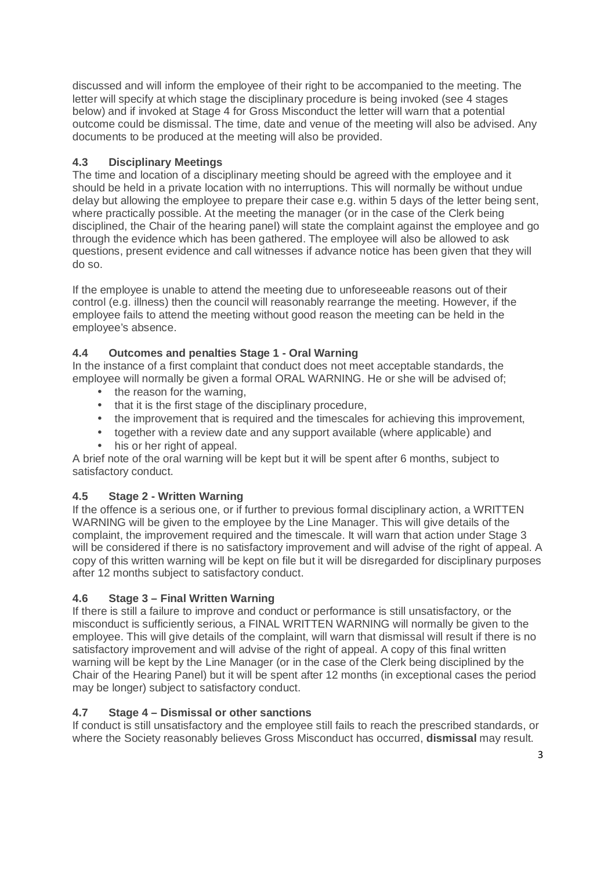discussed and will inform the employee of their right to be accompanied to the meeting. The letter will specify at which stage the disciplinary procedure is being invoked (see 4 stages below) and if invoked at Stage 4 for Gross Misconduct the letter will warn that a potential outcome could be dismissal. The time, date and venue of the meeting will also be advised. Any documents to be produced at the meeting will also be provided.

# **4.3 Disciplinary Meetings**

The time and location of a disciplinary meeting should be agreed with the employee and it should be held in a private location with no interruptions. This will normally be without undue delay but allowing the employee to prepare their case e.g. within 5 days of the letter being sent, where practically possible. At the meeting the manager (or in the case of the Clerk being disciplined, the Chair of the hearing panel) will state the complaint against the employee and go through the evidence which has been gathered. The employee will also be allowed to ask questions, present evidence and call witnesses if advance notice has been given that they will do so.

If the employee is unable to attend the meeting due to unforeseeable reasons out of their control (e.g. illness) then the council will reasonably rearrange the meeting. However, if the employee fails to attend the meeting without good reason the meeting can be held in the employee's absence.

# **4.4 Outcomes and penalties Stage 1 - Oral Warning**

In the instance of a first complaint that conduct does not meet acceptable standards, the employee will normally be given a formal ORAL WARNING. He or she will be advised of;

- the reason for the warning.
- that it is the first stage of the disciplinary procedure,
- the improvement that is required and the timescales for achieving this improvement,
- together with a review date and any support available (where applicable) and
- his or her right of appeal.

A brief note of the oral warning will be kept but it will be spent after 6 months, subject to satisfactory conduct.

# **4.5 Stage 2 - Written Warning**

If the offence is a serious one, or if further to previous formal disciplinary action, a WRITTEN WARNING will be given to the employee by the Line Manager. This will give details of the complaint, the improvement required and the timescale. It will warn that action under Stage 3 will be considered if there is no satisfactory improvement and will advise of the right of appeal. A copy of this written warning will be kept on file but it will be disregarded for disciplinary purposes after 12 months subject to satisfactory conduct.

# **4.6 Stage 3 – Final Written Warning**

If there is still a failure to improve and conduct or performance is still unsatisfactory, or the misconduct is sufficiently serious, a FINAL WRITTEN WARNING will normally be given to the employee. This will give details of the complaint, will warn that dismissal will result if there is no satisfactory improvement and will advise of the right of appeal. A copy of this final written warning will be kept by the Line Manager (or in the case of the Clerk being disciplined by the Chair of the Hearing Panel) but it will be spent after 12 months (in exceptional cases the period may be longer) subject to satisfactory conduct.

# **4.7 Stage 4 – Dismissal or other sanctions**

If conduct is still unsatisfactory and the employee still fails to reach the prescribed standards, or where the Society reasonably believes Gross Misconduct has occurred, **dismissal** may result.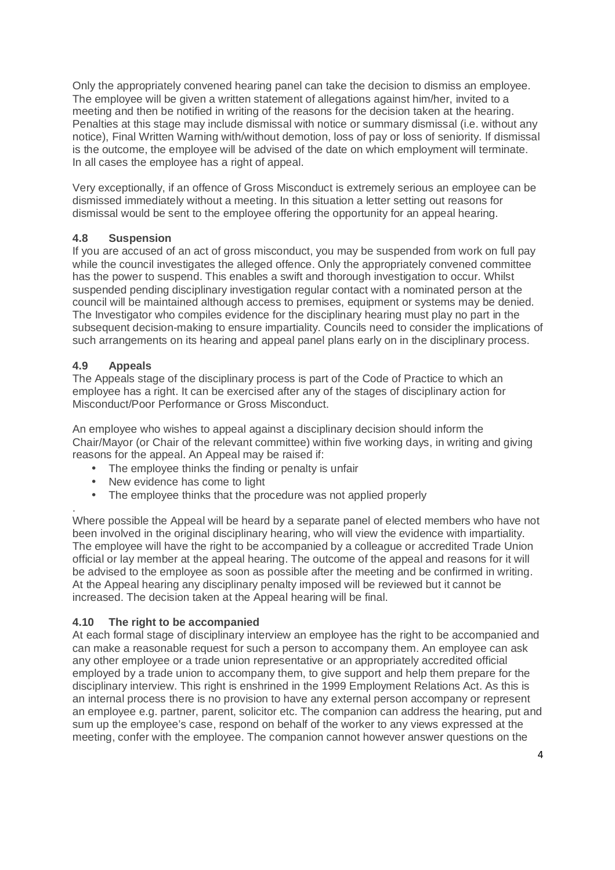Only the appropriately convened hearing panel can take the decision to dismiss an employee. The employee will be given a written statement of allegations against him/her, invited to a meeting and then be notified in writing of the reasons for the decision taken at the hearing. Penalties at this stage may include dismissal with notice or summary dismissal (i.e. without any notice), Final Written Warning with/without demotion, loss of pay or loss of seniority. If dismissal is the outcome, the employee will be advised of the date on which employment will terminate. In all cases the employee has a right of appeal.

Very exceptionally, if an offence of Gross Misconduct is extremely serious an employee can be dismissed immediately without a meeting. In this situation a letter setting out reasons for dismissal would be sent to the employee offering the opportunity for an appeal hearing.

# **4.8 Suspension**

If you are accused of an act of gross misconduct, you may be suspended from work on full pay while the council investigates the alleged offence. Only the appropriately convened committee has the power to suspend. This enables a swift and thorough investigation to occur. Whilst suspended pending disciplinary investigation regular contact with a nominated person at the council will be maintained although access to premises, equipment or systems may be denied. The Investigator who compiles evidence for the disciplinary hearing must play no part in the subsequent decision-making to ensure impartiality. Councils need to consider the implications of such arrangements on its hearing and appeal panel plans early on in the disciplinary process.

# **4.9 Appeals**

The Appeals stage of the disciplinary process is part of the Code of Practice to which an employee has a right. It can be exercised after any of the stages of disciplinary action for Misconduct/Poor Performance or Gross Misconduct.

An employee who wishes to appeal against a disciplinary decision should inform the Chair/Mayor (or Chair of the relevant committee) within five working days, in writing and giving reasons for the appeal. An Appeal may be raised if:

- The employee thinks the finding or penalty is unfair
- New evidence has come to light
- The employee thinks that the procedure was not applied properly

. Where possible the Appeal will be heard by a separate panel of elected members who have not been involved in the original disciplinary hearing, who will view the evidence with impartiality. The employee will have the right to be accompanied by a colleague or accredited Trade Union official or lay member at the appeal hearing. The outcome of the appeal and reasons for it will be advised to the employee as soon as possible after the meeting and be confirmed in writing. At the Appeal hearing any disciplinary penalty imposed will be reviewed but it cannot be increased. The decision taken at the Appeal hearing will be final.

#### **4.10 The right to be accompanied**

At each formal stage of disciplinary interview an employee has the right to be accompanied and can make a reasonable request for such a person to accompany them. An employee can ask any other employee or a trade union representative or an appropriately accredited official employed by a trade union to accompany them, to give support and help them prepare for the disciplinary interview. This right is enshrined in the 1999 Employment Relations Act. As this is an internal process there is no provision to have any external person accompany or represent an employee e.g. partner, parent, solicitor etc. The companion can address the hearing, put and sum up the employee's case, respond on behalf of the worker to any views expressed at the meeting, confer with the employee. The companion cannot however answer questions on the